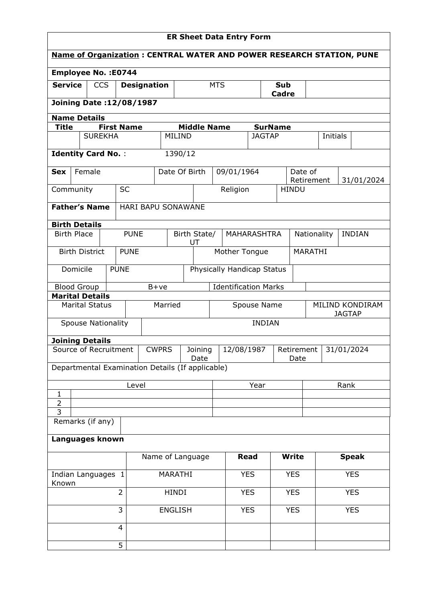| <b>ER Sheet Data Entry Form</b>                                             |                           |                |  |                                |                                                  |                             |                            |                    |               |            |                                 |              |                              |              |            |                 |
|-----------------------------------------------------------------------------|---------------------------|----------------|--|--------------------------------|--------------------------------------------------|-----------------------------|----------------------------|--------------------|---------------|------------|---------------------------------|--------------|------------------------------|--------------|------------|-----------------|
| <b>Name of Organization: CENTRAL WATER AND POWER RESEARCH STATION, PUNE</b> |                           |                |  |                                |                                                  |                             |                            |                    |               |            |                                 |              |                              |              |            |                 |
| <b>Employee No.: E0744</b>                                                  |                           |                |  |                                |                                                  |                             |                            |                    |               |            |                                 |              |                              |              |            |                 |
| <b>Service</b><br><b>CCS</b><br><b>Designation</b>                          |                           |                |  |                                |                                                  |                             | <b>MTS</b>                 |                    | Sub<br>Cadre  |            |                                 |              |                              |              |            |                 |
|                                                                             |                           |                |  | <b>Joining Date:12/08/1987</b> |                                                  |                             |                            |                    |               |            |                                 |              |                              |              |            |                 |
| <b>Name Details</b>                                                         |                           |                |  |                                |                                                  |                             |                            |                    |               |            |                                 |              |                              |              |            |                 |
| Title                                                                       |                           | <b>SUREKHA</b> |  | <b>First Name</b>              |                                                  | MILIND                      |                            | <b>Middle Name</b> |               |            | <b>SurName</b><br><b>JAGTAP</b> |              |                              | Initials     |            |                 |
|                                                                             |                           |                |  |                                |                                                  |                             |                            |                    |               |            |                                 |              |                              |              |            |                 |
| <b>Identity Card No.:</b>                                                   |                           |                |  |                                |                                                  | 1390/12                     |                            |                    |               |            |                                 |              |                              |              |            |                 |
| <b>Sex</b>                                                                  |                           | Female         |  |                                |                                                  | Date Of Birth               |                            |                    | 09/01/1964    |            |                                 | Date of      | Retirement                   |              |            | 31/01/2024      |
| Community                                                                   |                           |                |  | <b>SC</b>                      |                                                  |                             |                            |                    | Religion      |            |                                 | <b>HINDU</b> |                              |              |            |                 |
| <b>Father's Name</b>                                                        |                           |                |  |                                | HARI BAPU SONAWANE                               |                             |                            |                    |               |            |                                 |              |                              |              |            |                 |
| <b>Birth Details</b>                                                        |                           |                |  |                                |                                                  |                             |                            |                    |               |            |                                 |              |                              |              |            |                 |
|                                                                             | <b>Birth Place</b>        |                |  | <b>PUNE</b>                    |                                                  |                             | UT                         | Birth State/       | MAHARASHTRA   |            |                                 |              | <b>INDIAN</b><br>Nationality |              |            |                 |
|                                                                             | <b>Birth District</b>     |                |  | <b>PUNE</b>                    |                                                  |                             |                            |                    | Mother Tongue |            |                                 |              | MARATHI                      |              |            |                 |
|                                                                             | Domicile                  |                |  | <b>PUNE</b>                    |                                                  |                             | Physically Handicap Status |                    |               |            |                                 |              |                              |              |            |                 |
|                                                                             | <b>Blood Group</b>        |                |  |                                | $B+ve$                                           | <b>Identification Marks</b> |                            |                    |               |            |                                 |              |                              |              |            |                 |
| <b>Marital Details</b>                                                      | <b>Marital Status</b>     |                |  |                                |                                                  | Married                     |                            |                    |               |            | Spouse Name                     |              |                              |              |            | MILIND KONDIRAM |
|                                                                             | <b>Spouse Nationality</b> |                |  |                                |                                                  |                             |                            |                    | <b>INDIAN</b> |            |                                 |              | <b>JAGTAP</b>                |              |            |                 |
|                                                                             |                           |                |  |                                |                                                  |                             |                            |                    |               |            |                                 |              |                              |              |            |                 |
| <b>Joining Details</b>                                                      | Source of Recruitment     |                |  |                                | <b>CWPRS</b>                                     |                             | Joining                    |                    | 12/08/1987    |            |                                 | Retirement   |                              |              |            | 31/01/2024      |
|                                                                             |                           |                |  |                                |                                                  |                             | Date                       |                    |               |            |                                 | Date         |                              |              |            |                 |
|                                                                             |                           |                |  |                                | Departmental Examination Details (If applicable) |                             |                            |                    |               |            |                                 |              |                              |              |            |                 |
|                                                                             |                           |                |  | Level                          |                                                  |                             |                            |                    | Year          |            |                                 | Rank         |                              |              |            |                 |
| $\mathbf{1}$<br>$\overline{2}$                                              |                           |                |  |                                |                                                  |                             |                            |                    |               |            |                                 |              |                              |              |            |                 |
| 3                                                                           |                           |                |  |                                |                                                  |                             |                            |                    |               |            |                                 |              |                              |              |            |                 |
|                                                                             | Remarks (if any)          |                |  |                                |                                                  |                             |                            |                    |               |            |                                 |              |                              |              |            |                 |
| Languages known                                                             |                           |                |  |                                |                                                  |                             |                            |                    |               |            |                                 |              |                              |              |            |                 |
|                                                                             |                           |                |  | Name of Language               |                                                  |                             |                            |                    | <b>Read</b>   |            | <b>Write</b>                    |              |                              | <b>Speak</b> |            |                 |
| Indian Languages 1<br>Known                                                 |                           |                |  |                                |                                                  | MARATHI                     |                            |                    |               | <b>YES</b> |                                 | <b>YES</b>   |                              |              |            | <b>YES</b>      |
| $\overline{2}$                                                              |                           |                |  |                                | <b>HINDI</b>                                     |                             |                            |                    | <b>YES</b>    |            | <b>YES</b>                      |              |                              |              | <b>YES</b> |                 |
|                                                                             |                           |                |  | 3                              |                                                  | <b>ENGLISH</b>              |                            |                    |               | <b>YES</b> |                                 | <b>YES</b>   |                              |              |            | <b>YES</b>      |
|                                                                             |                           |                |  | $\overline{4}$                 |                                                  |                             |                            |                    |               |            |                                 |              |                              |              |            |                 |
|                                                                             |                           |                |  | 5                              |                                                  |                             |                            |                    |               |            |                                 |              |                              |              |            |                 |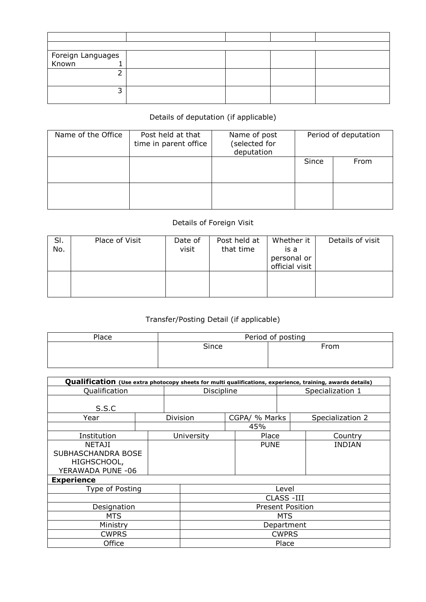| Foreign Languages<br>  Known |  |  |
|------------------------------|--|--|
|                              |  |  |
|                              |  |  |
|                              |  |  |
|                              |  |  |
|                              |  |  |

## Details of deputation (if applicable)

| Name of the Office | Post held at that<br>time in parent office | Name of post<br>(selected for<br>deputation | Period of deputation |      |  |
|--------------------|--------------------------------------------|---------------------------------------------|----------------------|------|--|
|                    |                                            |                                             | Since                | From |  |
|                    |                                            |                                             |                      |      |  |

## Details of Foreign Visit

| SI.<br>No. | Place of Visit | Date of<br>visit | Post held at<br>that time | Whether it<br>is a<br>personal or<br>official visit | Details of visit |
|------------|----------------|------------------|---------------------------|-----------------------------------------------------|------------------|
|            |                |                  |                           |                                                     |                  |

## Transfer/Posting Detail (if applicable)

| Place | Period of posting |      |  |  |  |  |  |
|-------|-------------------|------|--|--|--|--|--|
|       | Since             | From |  |  |  |  |  |
|       |                   |      |  |  |  |  |  |
|       |                   |      |  |  |  |  |  |

| Qualification (Use extra photocopy sheets for multi qualifications, experience, training, awards details) |                         |            |            |  |                  |  |                  |  |  |  |
|-----------------------------------------------------------------------------------------------------------|-------------------------|------------|------------|--|------------------|--|------------------|--|--|--|
| Qualification                                                                                             |                         | Discipline |            |  | Specialization 1 |  |                  |  |  |  |
|                                                                                                           |                         |            |            |  |                  |  |                  |  |  |  |
| S.S.C                                                                                                     |                         |            |            |  |                  |  |                  |  |  |  |
| Year                                                                                                      |                         |            | Division   |  | CGPA/ % Marks    |  | Specialization 2 |  |  |  |
|                                                                                                           |                         |            |            |  | 45%              |  |                  |  |  |  |
| Institution                                                                                               |                         |            | University |  | Place            |  | Country          |  |  |  |
| <b>NETAJI</b>                                                                                             |                         |            |            |  | <b>PUNE</b>      |  | <b>INDIAN</b>    |  |  |  |
| SUBHASCHANDRA BOSE                                                                                        |                         |            |            |  |                  |  |                  |  |  |  |
| HIGHSCHOOL,                                                                                               |                         |            |            |  |                  |  |                  |  |  |  |
| YERAWADA PUNE -06                                                                                         |                         |            |            |  |                  |  |                  |  |  |  |
| <b>Experience</b>                                                                                         |                         |            |            |  |                  |  |                  |  |  |  |
| Type of Posting                                                                                           |                         |            | Level      |  |                  |  |                  |  |  |  |
|                                                                                                           |                         | CLASS -III |            |  |                  |  |                  |  |  |  |
| Designation                                                                                               | <b>Present Position</b> |            |            |  |                  |  |                  |  |  |  |
| <b>MTS</b>                                                                                                | MTS                     |            |            |  |                  |  |                  |  |  |  |
| Ministry                                                                                                  | Department              |            |            |  |                  |  |                  |  |  |  |
| <b>CWPRS</b>                                                                                              | <b>CWPRS</b>            |            |            |  |                  |  |                  |  |  |  |
| Office                                                                                                    |                         |            | Place      |  |                  |  |                  |  |  |  |